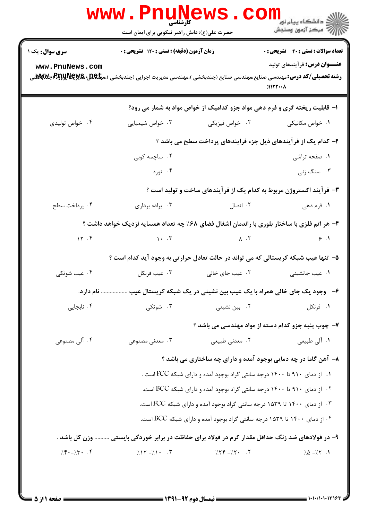| <b>سری سوال :</b> یک ۱ | زمان آزمون (دقیقه) : تستی : ۱۲۰ تشریحی : ۰                                                      |                             | <b>تعداد سوالات : تستي : 40 - تشريحي : 0</b>                                                                                                                                                                      |
|------------------------|-------------------------------------------------------------------------------------------------|-----------------------------|-------------------------------------------------------------------------------------------------------------------------------------------------------------------------------------------------------------------|
| www.PnuNews.com        |                                                                                                 |                             | <b>عنـــوان درس:</b> فرآیندهای تولید<br><b>رشته تحصیلی/کد درس:</b> مهندسی صنایع،مهندسی صنایع (چندبخشی )،مهندسی مدیریت اجرایی (چندبخشی )،م <b>پلگلیا R5yپR5yپR5y چلابلا</b><br>$)$ $)$ $\frac{1}{1}$ $\frac{1}{1}$ |
|                        |                                                                                                 |                             | ۱- قابلیت ریخته گری و فرم دهی مواد جزو کدامیک از خواص مواد به شمار می رود؟                                                                                                                                        |
| ۰۴ خواص تولیدی         | ۰۳ خواص شیمیایی                                                                                 | ۰۲ خواص فیزیکی              | ۰۱ خواص مکانیکی                                                                                                                                                                                                   |
|                        |                                                                                                 |                             | ۲- کدام یک از فرآیندهای ذیل جزء فرایندهای پرداخت سطح می باشد ؟                                                                                                                                                    |
|                        | ۰۲ ساچمه کوبی                                                                                   |                             | ۰۱ صفحه تراشی                                                                                                                                                                                                     |
|                        | ۰۴ نورد                                                                                         |                             | ۰۳ سنگ زنی                                                                                                                                                                                                        |
|                        |                                                                                                 |                             | ۳- فرآیند اکستروژن مربوط به کدام یک از فرآیندهای ساخت و تولید است ؟                                                                                                                                               |
| ۰۴ پرداخت سطح          | ۰۳ براده برداری                                                                                 | ۰۲ اتصال                    | ۱. فرم دهی                                                                                                                                                                                                        |
|                        | ۴- هر اتم فلزی با ساختار بلوری با راندمان اشغال فضای ۶۸٪ چه تعداد همسایه نزدیک خواهد داشت ؟     |                             |                                                                                                                                                                                                                   |
| 15.7                   | $\mathcal{L} \left( \mathcal{L} \right)$                                                        | $\lambda$ $\cdot$ $\lambda$ | 9.1                                                                                                                                                                                                               |
|                        | ۵– تنها عیب شبکه کریستالی که می تواند در حالت تعادل حرارتی به وجود آید کدام است ؟               |                             |                                                                                                                                                                                                                   |
| ۰۴ عیب شوتکی           | ۰۳ عيب فرنكل                                                                                    | ۰۲ عیب جای خالی             | ٠١ عيب جانشيني                                                                                                                                                                                                    |
|                        | ۶–۔ وجود یک جای خالی همراه با یک عیب بین نشینی در یک شبکه کریستال عیب  نام دارد.                |                             |                                                                                                                                                                                                                   |
| ۰۴ نابجایی             | ۰۳ شوتکی                                                                                        | ۰۲ بین نشین <i>ی</i>        | ۰۱ فرنکل                                                                                                                                                                                                          |
|                        |                                                                                                 |                             | ۷- چوب پنبه جزو کدام دسته از مواد مهندسی می باشد ؟                                                                                                                                                                |
| ۰۴ آلی مصنوعی          | ۰۳ معدنی مصنوعی $\cdot$ ۳                                                                       | ۰۲ معدنی طبیعی              | ۰۱ آلي طبيعي                                                                                                                                                                                                      |
|                        |                                                                                                 |                             | ۸- آهن گاما در چه دمایی بوجود آمده و دارای چه ساختاری می باشد ؟                                                                                                                                                   |
|                        |                                                                                                 |                             | ۰۱ از دمای ۹۱۰ تا ۱۴۰۰ درجه سانتی گراد بوجود آمده و دارای شبکه FCC است .                                                                                                                                          |
|                        |                                                                                                 |                             | ۰۲ از دمای ۹۱۰ تا ۱۴۰۰ درجه سانتی گراد بوجود آمده و دارای شبکه BCC است.                                                                                                                                           |
|                        |                                                                                                 |                             | ۰۳ از دمای ۱۴۰۰ تا ۱۵۳۹ درجه سانتی گراد بوجود آمده و دارای شبکه FCC است.                                                                                                                                          |
|                        |                                                                                                 |                             | ۰۴ از دمای ۱۴۰۰ تا ۱۵۳۹ درجه سانتی گراد بوجود آمده و دارای شبکه BCC است.                                                                                                                                          |
|                        | ۹- در فولادهای ضد زنگ حداقل مقدار کرم در فولاد برای حفاظت در برابر خوردگی بایستی  وزن کل باشد . |                             |                                                                                                                                                                                                                   |
| $7.5 - 7.7 - 7.7$      | $7.17 - 7.1 - .7$                                                                               | $7.77 - 7.7$ . T            | $7.0 - 7.7$ .1                                                                                                                                                                                                    |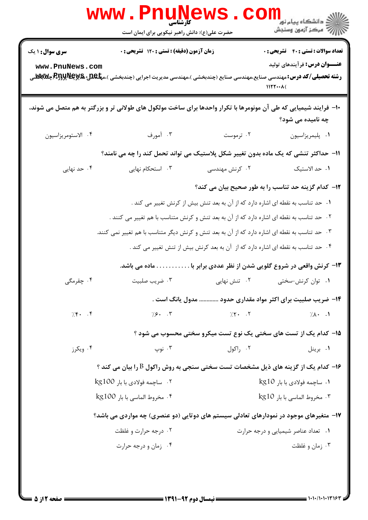|                                           | WWW . PI<br>کار شناسی<br>حضرت علی(ع): دانش راهبر نیکویی برای ایمان است                                           |                | ر دانشڪاه پيام نور <mark>−</mark><br>ا∛ مرکز آزمون وسنڊش                                                                                                                                                                           |
|-------------------------------------------|------------------------------------------------------------------------------------------------------------------|----------------|------------------------------------------------------------------------------------------------------------------------------------------------------------------------------------------------------------------------------------|
| <b>سری سوال : ۱ یک</b><br>www.PnuNews.com | زمان آزمون (دقیقه) : تستی : ۱۲۰ تشریحی : ۰                                                                       |                | <b>تعداد سوالات : تستی : 40 - تشریحی : 0</b><br><b>عنـــوان درس:</b> فرآیندهای تولید<br><b>رشته تحصیلی/کد درس:</b> مهندسی صنایع،مهندسی صنایع (چندبخشی )،مهندسی مدیریت اجرایی (چندبخشی )،م <b>پلگلیا R5yپR5yپR5y چلابلا</b><br>1177 |
|                                           | ۱۰– فرایند شیمیایی که طی آن مونومرها با تکرار واحدها برای ساخت مولکول های طولانی تر و بزرگتر به هم متصل می شوند، |                | چه نامیده می شود؟                                                                                                                                                                                                                  |
| ۰۴ الاستومريزاسيون                        | ۰۳ آمورف                                                                                                         | ۰۲ ترموست      | ٠١. پليمريزاسيون                                                                                                                                                                                                                   |
|                                           | 11– حداکثر تنشی که یک ماده بدون تغییر شکل پلاستیک می تواند تحمل کند را چه می نامند؟                              |                |                                                                                                                                                                                                                                    |
| ۰۴ حد نهایی                               | ۰۳ استحکام نهایی                                                                                                 | ۲. کرنش مهندسی | ۰۱ حد الاستیک                                                                                                                                                                                                                      |
|                                           |                                                                                                                  |                | ۱۲- کدام گزینه حد تناسب را به طور صحیح بیان می کند؟                                                                                                                                                                                |
|                                           |                                                                                                                  |                | ۰۱ حد تناسب به نقطه ای اشاره دارد که از آن به بعد تنش بیش از کرنش تغییر می کند .                                                                                                                                                   |
|                                           | ۰۲ حد تناسب به نقطه ای اشاره دارد که از آن به بعد تنش و کرنش متناسب با هم تغییر می کنند .                        |                |                                                                                                                                                                                                                                    |
|                                           | ۰۳ حد تناسب به نقطه ای اشاره دارد که از آن به بعد تنش و کرنش دیگر متناسب با هم تغییر نمی کنند.                   |                |                                                                                                                                                                                                                                    |
|                                           |                                                                                                                  |                | ۰۴ حد تناسب به نقطه ای اشاره دارد که از آن به بعد کرنش بیش از تنش تغییر می کند .                                                                                                                                                   |
|                                           | . ماده می باشد.                                                                                                  |                | ۱۳- کرنش واقعی در شروع گلویی شدن از نظر عددی برابر با                                                                                                                                                                              |
| ۰۴ چقرمگی                                 | ۰۳ ضریب صلبیت                                                                                                    | ۰۲ تنش نهایی   | ۰۱ توان کرنش-سختی                                                                                                                                                                                                                  |
|                                           |                                                                                                                  |                | ۱۴– ضریب صلبیت برای اکثر مواد مقداری حدود  مدول یانگ است .                                                                                                                                                                         |
| 7.8.7                                     | $\frac{1}{2}$ . $\frac{1}{2}$ .                                                                                  | $7.5 - 15$     | $7.1 \cdot 1$                                                                                                                                                                                                                      |
|                                           |                                                                                                                  |                | 1۵- کدام یک از تست های سختی یک نوع تست میکرو سختی محسوب می شود ؟                                                                                                                                                                   |
| ۰۴ ویکرز                                  | ۰۳ نوپ                                                                                                           | ۰۲ راکول       | ۰۱ برینل                                                                                                                                                                                                                           |
|                                           | ۱۶- کدام یک از گزینه های ذیل مشخصات تست سختی سنجی به روش راکول B را بیان می کند ؟                                |                |                                                                                                                                                                                                                                    |
|                                           | ۰۲ ساچمه فولادي با بار kg100                                                                                     |                | ۰۱ ساچمه فولادي با بار kg10                                                                                                                                                                                                        |
|                                           | ۴. مخروط الماسي با بار kg100                                                                                     |                | ۰۳ مخروط الماسي با بار kg10                                                                                                                                                                                                        |
|                                           | ۱۷- متغیرهای موجود در نمودارهای تعادلی سیستم های دوتایی (دو عنصری) چه مواردی می باشد؟                            |                |                                                                                                                                                                                                                                    |
|                                           | ۰۲ درجه حرارت و غلظت                                                                                             |                | ۰۱ تعداد عناصر شیمیایی و درجه حرارت                                                                                                                                                                                                |
|                                           | ۰۴ زمان و درجه حرارت                                                                                             |                | ۰۳ زمان و غلظت                                                                                                                                                                                                                     |
|                                           |                                                                                                                  |                |                                                                                                                                                                                                                                    |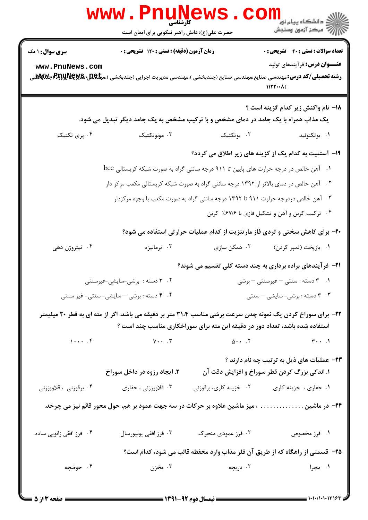|                                           | <b>www . Pl</b><br>كأرشناسي<br>حضرت علی(ع): دانش راهبر نیکویی برای ایمان است                                                                                                                                                                                                                                                                                                                      |                                                                                                                                                                                  |                                                                                                                                                                                                                                                                                                                                                               |
|-------------------------------------------|---------------------------------------------------------------------------------------------------------------------------------------------------------------------------------------------------------------------------------------------------------------------------------------------------------------------------------------------------------------------------------------------------|----------------------------------------------------------------------------------------------------------------------------------------------------------------------------------|---------------------------------------------------------------------------------------------------------------------------------------------------------------------------------------------------------------------------------------------------------------------------------------------------------------------------------------------------------------|
| <b>سری سوال : ۱ یک</b><br>www.PnuNews.com | زمان آزمون (دقیقه) : تستی : ۱۲۰ تشریحی : ۰<br><b>رشته تحصیلی/کد درس:</b> مهندسی صنایع،مهندسی صنایع (چندبخشی )،مهندسی مدیریت اجرایی (چندبخشی )،م <b>پلکلیا R5yپR5yپR5y چ</b> کلا                                                                                                                                                                                                                   |                                                                                                                                                                                  | <b>تعداد سوالات : تستی : 40 - تشریحی : .</b><br><b>عنـــوان درس:</b> فرآیندهای تولید<br>1177                                                                                                                                                                                                                                                                  |
|                                           | یک مذاب همراه با یک جامد در دمای مشخص و با ترکیب مشخص به یک جامد دیگر تبدیل می شود.                                                                                                                                                                                                                                                                                                               |                                                                                                                                                                                  | 18- نام واكنش زير كدام گزينه است ؟                                                                                                                                                                                                                                                                                                                            |
| ۰۴ پری تکتیک                              | ۰۳ مونوتکتیک                                                                                                                                                                                                                                                                                                                                                                                      | ٢. يوتكتيك                                                                                                                                                                       | ٠١. يوتكتوئيد                                                                                                                                                                                                                                                                                                                                                 |
| ۰۴ نیتروژن دهی                            | ۰۱ آهن خالص در درجه حرارت های پایین تا ۹۱۱ درجه سانتی گراد به صورت شبکه کریستالی <sup>bcc</sup><br>۰۲ آهن خالص در دمای بالاتر از ۱۳۹۲ درجه سانتی گراد به صورت شبکه کریستالی مکعب مرکز دار<br>۰۳ نرمالیزه<br>۰۲ دسته : برشی-سایشی-غیرسنتی<br>۰۴ مسته : برشی - سایشی- سنتی- غیر سنتی<br>۲۲- برای سوراخ کردن یک نمونه چدن سرعت برشی مناسب ۳۱،۴ متر بر دقیقه می باشد. اگر از مته ای به قطر ۲۰ میلیمتر | ۰۳ آهن خالص دردرجه حرارت ۹۱۱ تا ۱۳۹۲ درجه سانتی گراد به صورت مکعب با وجوه مرکزدار<br>۰۲ همگن سازی<br>استفاده شده باشد، تعداد دور در دقیقه این مته برای سوراخکاری مناسب چند است ؟ | ۱۹- آستنیت به کدام یک از گزینه های زیر اطلاق می گردد؟<br>۰۴ ترکیب کربن و آهن و تشکیل فازی با ۶۷/۶٪ کربن<br>۲۰- برای کاهش سختی و تردی فاز مارتنزیت از کدام عملیات حرارتی استفاده می شود؟<br>۰۱ بازپخت (تمپر کردن)<br><b>۲۱</b> - فرآیندهای براده برداری به چند دسته کلی تقسیم می شوند؟<br>۰۱ . ۳ دسته : سنتی - غیرسنتی - برشی<br>۰۳ تاسته : برشی- سایشی - سنتی |
|                                           | $1 \cdot \cdot \cdot$ $5 \cdot \cdot \cdot$ $6 \cdot \cdot \cdot$ $7 \cdot \cdot \cdot \cdot$ $8 \cdot \cdot \cdot$ $1 \cdot \cdot \cdot$ $1 \cdot \cdot \cdot$ $1 \cdot \cdot \cdot$ $1 \cdot \cdot \cdot$ $1 \cdot \cdot \cdot$ $1 \cdot \cdot \cdot$                                                                                                                                           |                                                                                                                                                                                  | ۲۳- عملیات های ذیل به ترتیب چه نام دارند ؟                                                                                                                                                                                                                                                                                                                    |
| ۰۴ برقوزنی ، قلاویززنی                    | ۲. ایجاد رزوه در داخل سوراخ<br>۰۳ قلاویززنی ، حفاری                                                                                                                                                                                                                                                                                                                                               | ۰۲ خزینه کاری، برقوزنی                                                                                                                                                           | ۱. اندکی بزرگ کردن قطر سوراخ و افزایش دقت آن<br>۰۱ حفاری ، خزینه کاری                                                                                                                                                                                                                                                                                         |
|                                           | ۲۴– در ماشین میز ماشین علاوه بر حرکات در سه جهت عمود بر هم، حول محور قائم نیز می چرخد.                                                                                                                                                                                                                                                                                                            |                                                                                                                                                                                  |                                                                                                                                                                                                                                                                                                                                                               |
| ۰۴ فرز افقی زانویی ساده                   | ۰۳ فرز افقی یونیورسال                                                                                                                                                                                                                                                                                                                                                                             | ۰۲ فرز عمودی متحرک                                                                                                                                                               | ۰۱ فرز مخصوص                                                                                                                                                                                                                                                                                                                                                  |
|                                           |                                                                                                                                                                                                                                                                                                                                                                                                   |                                                                                                                                                                                  | ۲۵- قسمتی از راهگاه که از طریق آن فلز مذاب وارد محفظه قالب می شود، کدام است؟                                                                                                                                                                                                                                                                                  |
| ۰۴ حوضچه                                  |                                                                                                                                                                                                                                                                                                                                                                                                   | ۰۲ دریچه است. است و توان                                                                                                                                                         | ۱. مجرا                                                                                                                                                                                                                                                                                                                                                       |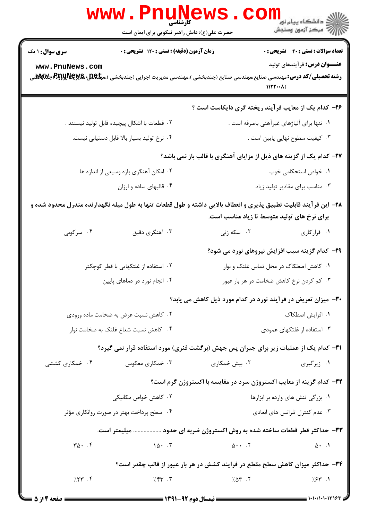| <b>WWW.PNUNEWS</b>                                                                      | الا دانشگاه پيام نور<br> <br> 7  مرکز آزمون وسنڊش<br><b>کارشناسی</b><br>حضرت علی(ع): دانش راهبر نیکویی برای ایمان است                                                                                                                                                                                                                                                                                                                                                                                                                                                       |
|-----------------------------------------------------------------------------------------|-----------------------------------------------------------------------------------------------------------------------------------------------------------------------------------------------------------------------------------------------------------------------------------------------------------------------------------------------------------------------------------------------------------------------------------------------------------------------------------------------------------------------------------------------------------------------------|
| زمان آزمون (دقیقه) : تستی : ۱۲۰ تشریحی : ۰<br><b>سری سوال : ۱ یک</b><br>www.PnuNews.com | <b>تعداد سوالات : تستی : 40 - تشریحی : 0</b><br><b>عنـــوان درس:</b> فرآیندهای تولید<br>1177                                                                                                                                                                                                                                                                                                                                                                                                                                                                                |
|                                                                                         | ۲۶- کدام یک از معایب فرآیند ریخته گری دایکاست است ؟                                                                                                                                                                                                                                                                                                                                                                                                                                                                                                                         |
| ۰۲ قطعات با اشکال پیچیده قابل تولید نیستند .                                            | ۰۱ تنها برای آلیاژهای غیرآهنی باصرفه است .                                                                                                                                                                                                                                                                                                                                                                                                                                                                                                                                  |
| ۰۴ نرخ تولید بسیار بالا قابل دستیابی نیست.                                              | ۰۳ کیفیت سطوح نهایی پایین است .                                                                                                                                                                                                                                                                                                                                                                                                                                                                                                                                             |
|                                                                                         | <b>۲۷- کدام یک از گزینه های ذیل از مزایای آهنگری با قالب باز نمی باشد</b> ؟                                                                                                                                                                                                                                                                                                                                                                                                                                                                                                 |
| ۰۲ امکان آهنگری بازه وسیعی از اندازه ها                                                 | ۰۱ خواص استحکامی خوب                                                                                                                                                                                                                                                                                                                                                                                                                                                                                                                                                        |
| ۰۴ قالبهای ساده و ارزان                                                                 | ۰۳ مناسب برای مقادیر تولید زیاد                                                                                                                                                                                                                                                                                                                                                                                                                                                                                                                                             |
|                                                                                         | ۲۸– این فرآیند قابلیت تطبیق پذیری و انعطاف بالایی داشته و طول قطعات تنها به طول میله نگهدارنده مندرل محدود شده و<br>برای نرخ های تولید متوسط تا زیاد مناسب است.                                                                                                                                                                                                                                                                                                                                                                                                             |
| ۰۳ آهنگری دقیق<br>۰۴ سرکوبی                                                             | ۰۲ سکه زنی<br>۰۱ قرارکاری                                                                                                                                                                                                                                                                                                                                                                                                                                                                                                                                                   |
|                                                                                         | <b>۲۹</b> - کدام گزینه سبب افزایش نیروهای نورد می شود؟                                                                                                                                                                                                                                                                                                                                                                                                                                                                                                                      |
| ۰۲ استفاده از غلتکهایی با قطر کوچکتر                                                    | ۰۱ کاهش اصطکاک در محل تماس غلتک و نوار                                                                                                                                                                                                                                                                                                                                                                                                                                                                                                                                      |
| ۰۴ انجام نورد در دماهای پایین                                                           | ۰۳ کم کردن نرخ کاهش ضخامت در هر بار عبور                                                                                                                                                                                                                                                                                                                                                                                                                                                                                                                                    |
|                                                                                         | <b>۳۰</b> - میزان تعریض در فرآیند نورد در کدام مورد ذیل کاهش می یابد؟                                                                                                                                                                                                                                                                                                                                                                                                                                                                                                       |
| ۰۲ کاهش نسبت عرض به ضخامت ماده ورودی                                                    | ۰۱ افزایش اصطکاک                                                                                                                                                                                                                                                                                                                                                                                                                                                                                                                                                            |
| ۰۴ کاهش نسبت شعاع غلتک به ضخامت نوار                                                    | ۰۳ استفاده از غلتکهای عمودی                                                                                                                                                                                                                                                                                                                                                                                                                                                                                                                                                 |
|                                                                                         | <b>۳۱</b> - کدام یک از عملیات زیر برای جبران پس جهش (برگشت فنری) مورد استفاده قرار نمی گیرد؟                                                                                                                                                                                                                                                                                                                                                                                                                                                                                |
| ۰۴ خمکاری کششی<br>۰۳ خمکاری معکوس                                                       | ۰۲ بیش خمکاری<br>۰۱ زیرگیری                                                                                                                                                                                                                                                                                                                                                                                                                                                                                                                                                 |
|                                                                                         | ٣٢- كدام گزينه از معايب اكستروژن سرد در مقايسه با اكستروژن گرم است؟                                                                                                                                                                                                                                                                                                                                                                                                                                                                                                         |
| ۰۲ کاهش خواص مکانیکی                                                                    | ۰۱ بزرگی تنش های وارده بر ابزارها                                                                                                                                                                                                                                                                                                                                                                                                                                                                                                                                           |
| ۰۴ سطح پرداخت بهتر در صورت روانکاری مؤثر                                                | ۰۳ عدم کنترل تلرانس های ابعادی                                                                                                                                                                                                                                                                                                                                                                                                                                                                                                                                              |
|                                                                                         | ۳۳– حداکثر قطر قطعات ساخته شده به روش اکستروژن ضربه ای حدود  میلیمتر است.                                                                                                                                                                                                                                                                                                                                                                                                                                                                                                   |
| $\mathbf{r}\Delta\cdot\mathbf{r}$                                                       | $\Delta \cdot \cdot \cdot$ $\Delta \cdot \cdot \cdot$ $\Delta \cdot \cdot \cdot$ $\Delta \cdot \cdot \cdot$ $\Delta \cdot \cdot \cdot$ $\Delta \cdot \cdot \cdot$ $\Delta \cdot \cdot \cdot$ $\Delta \cdot \cdot \cdot$ $\Delta \cdot \cdot \cdot$ $\Delta \cdot \cdot \cdot$ $\Delta \cdot \cdot \cdot$ $\Delta \cdot \cdot \cdot$ $\Delta \cdot \cdot \cdot$ $\Delta \cdot \cdot \cdot$ $\Delta \cdot \cdot \cdot$ $\Delta \cdot \cdot \cdot$ $\Delta \cdot \cdot \cdot$ $\Delta \cdot \cdot \cdot$ $\Delta \cdot \cdot \cdot$ $\Delta \cdot \cdot \cdot$<br>$\Delta$ . 1 |
|                                                                                         | ۳۴- حداکثر میزان کاهش سطح مقطع در فرایند کشش در هر بار عبور از قالب چقدر است؟                                                                                                                                                                                                                                                                                                                                                                                                                                                                                               |
| 7.54<br>7.54                                                                            | $7.05$ .<br>$7.54$ .                                                                                                                                                                                                                                                                                                                                                                                                                                                                                                                                                        |
| <b>= صفحه 4 از 5</b>                                                                    |                                                                                                                                                                                                                                                                                                                                                                                                                                                                                                                                                                             |